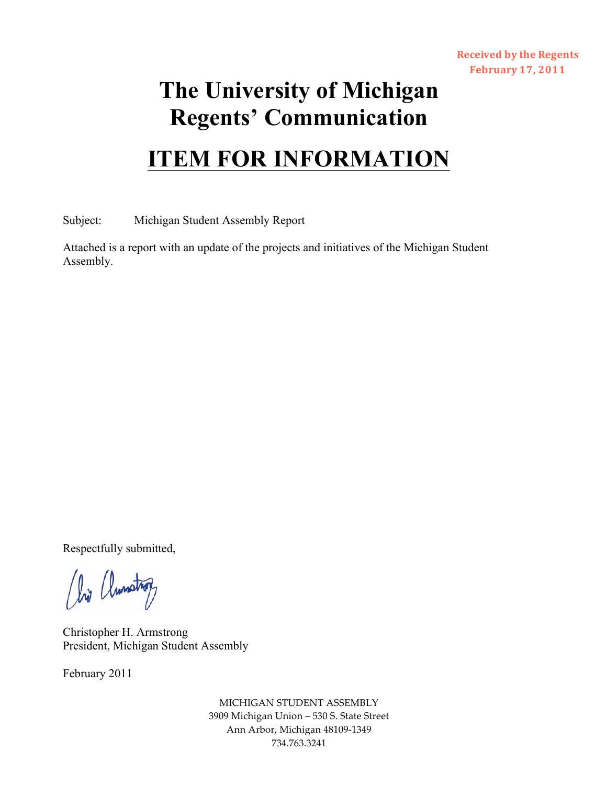## **The University of Michigan Regents' Communication**

## **ITEM FOR INFORMATION**

Subject: Michigan Student Assembly Report

Attached is a report with an update of the projects and initiatives of the Michigan Student Assembly.

Respectfully submitted,

(hij (lunstrop)

Christopher H. Armstrong President, Michigan Student Assembly

February 2011

MICHIGAN STUDENT ASSEMBLY 3909 Michigan Union - 530 S. State Street Ann Arbor, Michigan 48109-1349 734.763.3241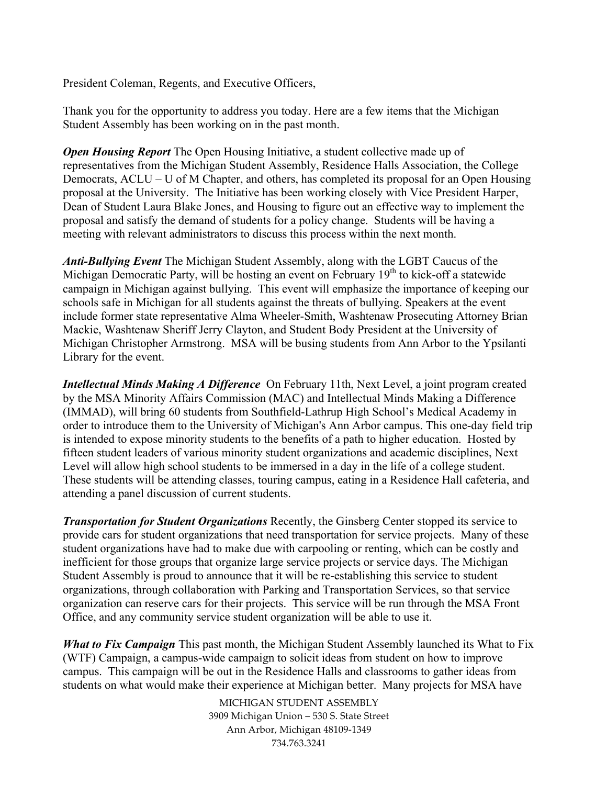President Coleman, Regents, and Executive Officers,

Thank you for the opportunity to address you today. Here are a few items that the Michigan Student Assembly has been working on in the past month.

*Open Housing Report* The Open Housing Initiative, a student collective made up of representatives from the Michigan Student Assembly, Residence Halls Association, the College Democrats, ACLU – U of M Chapter, and others, has completed its proposal for an Open Housing proposal at the University. The Initiative has been working closely with Vice President Harper, Dean of Student Laura Blake Jones, and Housing to figure out an effective way to implement the proposal and satisfy the demand of students for a policy change. Students will be having a meeting with relevant administrators to discuss this process within the next month.

*Anti-Bullying Event* The Michigan Student Assembly, along with the LGBT Caucus of the Michigan Democratic Party, will be hosting an event on February  $19<sup>th</sup>$  to kick-off a statewide campaign in Michigan against bullying. This event will emphasize the importance of keeping our schools safe in Michigan for all students against the threats of bullying. Speakers at the event include former state representative Alma Wheeler-Smith, Washtenaw Prosecuting Attorney Brian Mackie, Washtenaw Sheriff Jerry Clayton, and Student Body President at the University of Michigan Christopher Armstrong. MSA will be busing students from Ann Arbor to the Ypsilanti Library for the event.

*Intellectual Minds Making A Difference* On February 11th, Next Level, a joint program created by the MSA Minority Affairs Commission (MAC) and Intellectual Minds Making a Difference (IMMAD), will bring 60 students from Southfield-Lathrup High School's Medical Academy in order to introduce them to the University of Michigan's Ann Arbor campus. This one-day field trip is intended to expose minority students to the benefits of a path to higher education. Hosted by fifteen student leaders of various minority student organizations and academic disciplines, Next Level will allow high school students to be immersed in a day in the life of a college student. These students will be attending classes, touring campus, eating in a Residence Hall cafeteria, and attending a panel discussion of current students.

*Transportation for Student Organizations* Recently, the Ginsberg Center stopped its service to provide cars for student organizations that need transportation for service projects. Many of these student organizations have had to make due with carpooling or renting, which can be costly and inefficient for those groups that organize large service projects or service days. The Michigan Student Assembly is proud to announce that it will be re-establishing this service to student organizations, through collaboration with Parking and Transportation Services, so that service organization can reserve cars for their projects. This service will be run through the MSA Front Office, and any community service student organization will be able to use it.

*What to Fix Campaign* This past month, the Michigan Student Assembly launched its What to Fix (WTF) Campaign, a campus-wide campaign to solicit ideas from student on how to improve campus. This campaign will be out in the Residence Halls and classrooms to gather ideas from students on what would make their experience at Michigan better. Many projects for MSA have

> MICHIGAN STUDENT ASSEMBLY 3909 Michigan Union - 530 S. State Street Ann Arbor, Michigan 48109-1349 734.763.3241